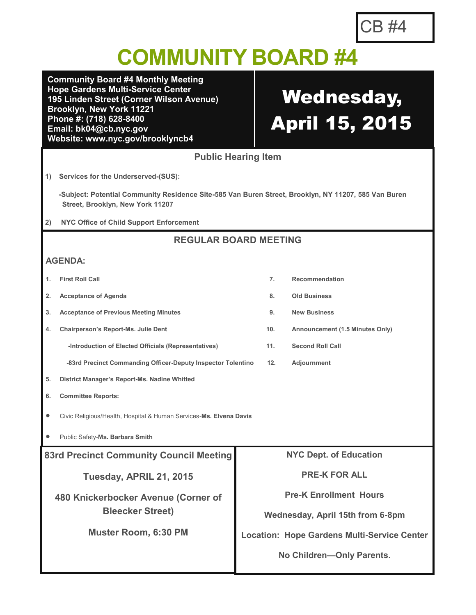## **COMMUNITY BOARD #4**

**Community Board #4 Monthly Meeting Hope Gardens Multi-Service Center 195 Linden Street (Corner Wilson Avenue) Brooklyn, New York 11221 Phone #: (718) 628-8400 Email: bk04@cb.nyc.gov Website: www.nyc.gov/brooklyncb4**

# Wednesday, April 15, 2015

**1. First Roll Call 7. Recommendation**

**Public Hearing Item**

**1) Services for the Underserved-(SUS):**

 **-Subject: Potential Community Residence Site-585 Van Buren Street, Brooklyn, NY 11207, 585 Van Buren Street, Brooklyn, New York 11207**

**2) NYC Office of Child Support Enforcement**

### **REGULAR BOARD MEETING**

### **AGENDA:**

| <b>First Roll Call</b> |  |
|------------------------|--|
|                        |  |

- **2. Acceptance of Agenda 8. Old Business**
- **3. Acceptance of Previous Meeting Minutes 9. New Business**
- **4. Chairperson's Report-Ms. Julie Dent 10. Announcement (1.5 Minutes Only)**
	- **-Introduction of Elected Officials (Representatives) 11. Second Roll Call**

 **-83rd Precinct Commanding Officer-Deputy Inspector Tolentino 12. Adjournment**

- **5. District Manager's Report-Ms. Nadine Whitted**
- **6. Committee Reports:**
- Civic Religious/Health, Hospital & Human Services-**Ms. Elvena Davis**
- Public Safety-**Ms. Barbara Smith**

| <b>83rd Precinct Community Council Meeting</b> | <b>NYC Dept. of Education</b>                      |  |
|------------------------------------------------|----------------------------------------------------|--|
| Tuesday, APRIL 21, 2015                        | <b>PRE-K FOR ALL</b>                               |  |
| 480 Knickerbocker Avenue (Corner of            | <b>Pre-K Enrollment Hours</b>                      |  |
| <b>Bleecker Street)</b>                        | Wednesday, April 15th from 6-8pm                   |  |
| <b>Muster Room, 6:30 PM</b>                    | <b>Location: Hope Gardens Multi-Service Center</b> |  |
|                                                | No Children-Only Parents.                          |  |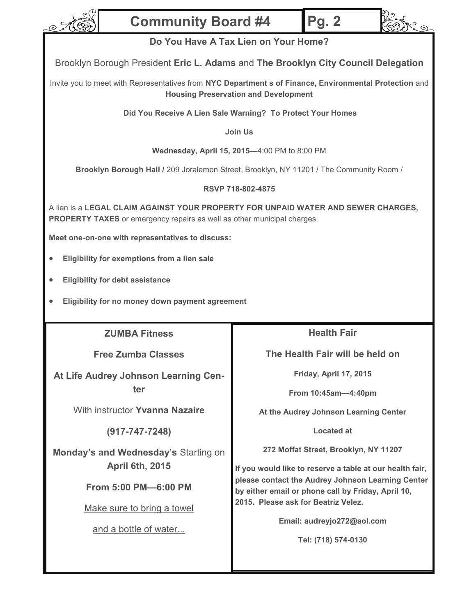

### **Community Board #4**



Brooklyn Borough President **Eric L. Adams** and **The Brooklyn City Council Delegation**

Invite you to meet with Representatives from **NYC Department s of Finance, Environmental Protection** and **Housing Preservation and Development**

**Did You Receive A Lien Sale Warning? To Protect Your Homes**

**Join Us** 

**Wednesday, April 15, 2015—**4:00 PM to 8:00 PM

**Brooklyn Borough Hall /** 209 Joralemon Street, Brooklyn, NY 11201 / The Community Room /

**RSVP 718-802-4875**

A lien is a **LEGAL CLAIM AGAINST YOUR PROPERTY FOR UNPAID WATER AND SEWER CHARGES, PROPERTY TAXES** or emergency repairs as well as other municipal charges.

**Meet one-on-one with representatives to discuss:**

- **Eligibility for exemptions from a lien sale**
- **Eligibility for debt assistance**
- **Eligibility for no money down payment agreement**

**ZUMBA Fitness** 

**Free Zumba Classes**

**At Life Audrey Johnson Learning Center**

With instructor **Yvanna Nazaire** 

**(917-747-7248)**

**Monday's and Wednesday's** Starting on **April 6th, 2015**

**From 5:00 PM—6:00 PM**

Make sure to bring a towel

and a bottle of water...

**Health Fair**

**Pg. 2**

j<br>Lo

**The Health Fair will be held on** 

**Friday, April 17, 2015**

**From 10:45am—4:40pm**

**At the Audrey Johnson Learning Center**

**Located at**

**272 Moffat Street, Brooklyn, NY 11207**

**If you would like to reserve a table at our health fair, please contact the Audrey Johnson Learning Center by either email or phone call by Friday, April 10, 2015. Please ask for Beatriz Velez.** 

**Email: audreyjo272@aol.com**

**Tel: (718) 574-0130**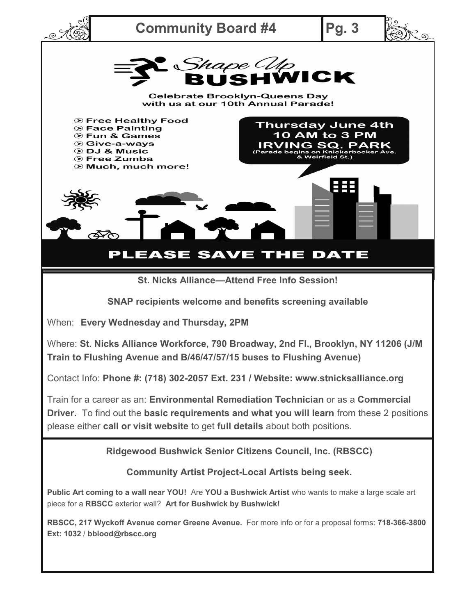

When: **Every Wednesday and Thursday, 2PM**

Where: **St. Nicks Alliance Workforce, 790 Broadway, 2nd Fl., Brooklyn, NY 11206 (J/M Train to Flushing Avenue and B/46/47/57/15 buses to Flushing Avenue)**

Contact Info: **Phone #: (718) 302-2057 Ext. 231 / Website: www.stnicksalliance.org**

Train for a career as an: **Environmental Remediation Technician** or as a **Commercial Driver.** To find out the **basic requirements and what you will learn** from these 2 positions please either **call or visit website** to get **full details** about both positions.

**Ridgewood Bushwick Senior Citizens Council, Inc. (RBSCC)**

**Community Artist Project-Local Artists being seek.**

**Public Art coming to a wall near YOU!** Are **YOU a Bushwick Artist** who wants to make a large scale art piece for a **RBSCC** exterior wall? **Art for Bushwick by Bushwick!** 

**RBSCC, 217 Wyckoff Avenue corner Greene Avenue.** For more info or for a proposal forms: **718-366-3800 Ext: 1032** / **bblood@rbscc.org**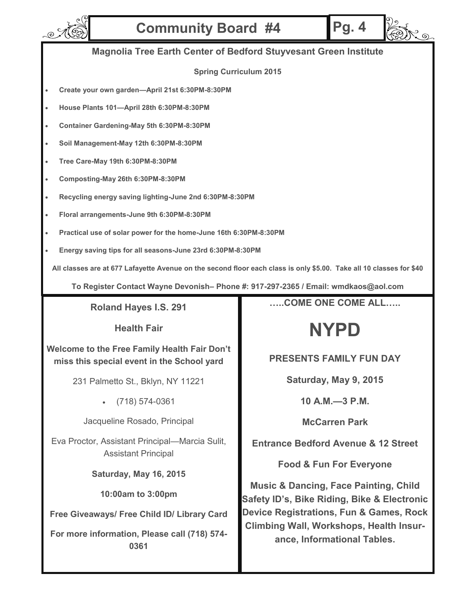

## **Community Board #4 Pg. 4**



### **Magnolia Tree Earth Center of Bedford Stuyvesant Green Institute**

#### **Spring Curriculum 2015**

- **Create your own garden—April 21st 6:30PM-8:30PM**
- **House Plants 101—April 28th 6:30PM-8:30PM**
- **Container Gardening-May 5th 6:30PM-8:30PM**
- **Soil Management-May 12th 6:30PM-8:30PM**
- **Tree Care-May 19th 6:30PM-8:30PM**
- **Composting-May 26th 6:30PM-8:30PM**
- **Recycling energy saving lighting-June 2nd 6:30PM-8:30PM**
- **Floral arrangements-June 9th 6:30PM-8:30PM**
- **Practical use of solar power for the home-June 16th 6:30PM-8:30PM**
- **Energy saving tips for all seasons-June 23rd 6:30PM-8:30PM**

**All classes are at 677 Lafayette Avenue on the second floor each class is only \$5.00. Take all 10 classes for \$40**

**To Register Contact Wayne Devonish– Phone #: 917-297-2365 / Email: wmdkaos@aol.com**

**Roland Hayes I.S. 291** 

**Health Fair**

**Welcome to the Free Family Health Fair Don't miss this special event in the School yard**

231 Palmetto St., Bklyn, NY 11221

(718) 574-0361

Jacqueline Rosado, Principal

Eva Proctor, Assistant Principal—Marcia Sulit, Assistant Principal

**Saturday, May 16, 2015**

**10:00am to 3:00pm**

**Free Giveaways/ Free Child ID/ Library Card** 

**For more information, Please call (718) 574- 0361** 

**…..COME ONE COME ALL…..**

## **NYPD**

**PRESENTS FAMILY FUN DAY**

**Saturday, May 9, 2015**

**10 A.M.—3 P.M.**

**McCarren Park**

**Entrance Bedford Avenue & 12 Street**

**Food & Fun For Everyone**

**Music & Dancing, Face Painting, Child Safety ID's, Bike Riding, Bike & Electronic Device Registrations, Fun & Games, Rock Climbing Wall, Workshops, Health Insurance, Informational Tables.**